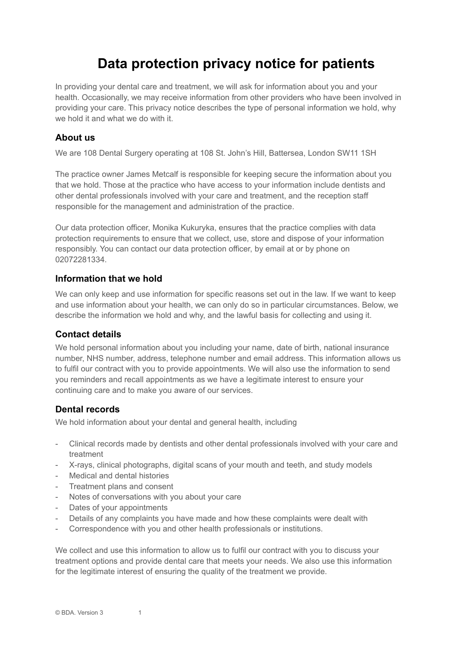# **Data protection privacy notice for patients**

In providing your dental care and treatment, we will ask for information about you and your health. Occasionally, we may receive information from other providers who have been involved in providing your care. This privacy notice describes the type of personal information we hold, why we hold it and what we do with it.

#### **About us**

We are 108 Dental Surgery operating at 108 St. John's Hill, Battersea, London SW11 1SH

The practice owner James Metcalf is responsible for keeping secure the information about you that we hold. Those at the practice who have access to your information include dentists and other dental professionals involved with your care and treatment, and the reception staff responsible for the management and administration of the practice.

Our data protection officer, Monika Kukuryka, ensures that the practice complies with data protection requirements to ensure that we collect, use, store and dispose of your information responsibly. You can contact our data protection officer, by email at or by phone on 02072281334.

#### **Information that we hold**

We can only keep and use information for specific reasons set out in the law. If we want to keep and use information about your health, we can only do so in particular circumstances. Below, we describe the information we hold and why, and the lawful basis for collecting and using it.

# **Contact details**

We hold personal information about you including your name, date of birth, national insurance number, NHS number, address, telephone number and email address. This information allows us to fulfil our contract with you to provide appointments. We will also use the information to send you reminders and recall appointments as we have a legitimate interest to ensure your continuing care and to make you aware of our services.

# **Dental records**

We hold information about your dental and general health, including

- Clinical records made by dentists and other dental professionals involved with your care and treatment
- X-rays, clinical photographs, digital scans of your mouth and teeth, and study models
- Medical and dental histories
- Treatment plans and consent
- Notes of conversations with you about your care
- Dates of your appointments
- Details of any complaints you have made and how these complaints were dealt with
- Correspondence with you and other health professionals or institutions.

We collect and use this information to allow us to fulfil our contract with you to discuss your treatment options and provide dental care that meets your needs. We also use this information for the legitimate interest of ensuring the quality of the treatment we provide.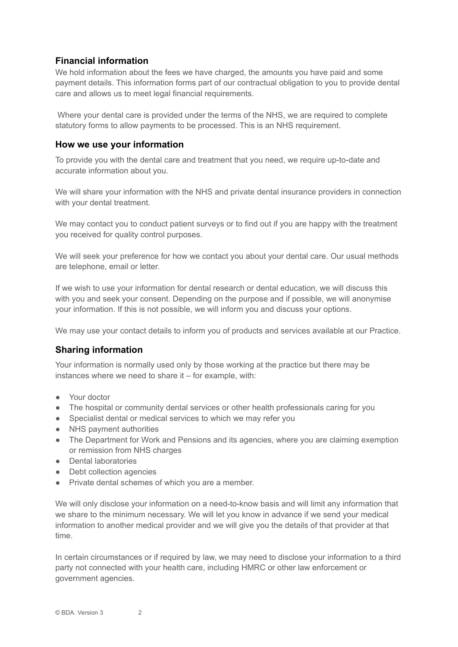# **Financial information**

We hold information about the fees we have charged, the amounts you have paid and some payment details. This information forms part of our contractual obligation to you to provide dental care and allows us to meet legal financial requirements.

Where your dental care is provided under the terms of the NHS, we are required to complete statutory forms to allow payments to be processed. This is an NHS requirement.

#### **How we use your information**

To provide you with the dental care and treatment that you need, we require up-to-date and accurate information about you.

We will share your information with the NHS and private dental insurance providers in connection with your dental treatment.

We may contact you to conduct patient surveys or to find out if you are happy with the treatment you received for quality control purposes.

We will seek your preference for how we contact you about your dental care. Our usual methods are telephone, email or letter.

If we wish to use your information for dental research or dental education, we will discuss this with you and seek your consent. Depending on the purpose and if possible, we will anonymise your information. If this is not possible, we will inform you and discuss your options.

We may use your contact details to inform you of products and services available at our Practice.

# **Sharing information**

Your information is normally used only by those working at the practice but there may be instances where we need to share it – for example, with:

- Your doctor
- The hospital or community dental services or other health professionals caring for you
- Specialist dental or medical services to which we may refer you
- NHS payment authorities
- The Department for Work and Pensions and its agencies, where you are claiming exemption or remission from NHS charges
- Dental laboratories
- Debt collection agencies
- Private dental schemes of which you are a member.

We will only disclose your information on a need-to-know basis and will limit any information that we share to the minimum necessary. We will let you know in advance if we send your medical information to another medical provider and we will give you the details of that provider at that time.

In certain circumstances or if required by law, we may need to disclose your information to a third party not connected with your health care, including HMRC or other law enforcement or government agencies.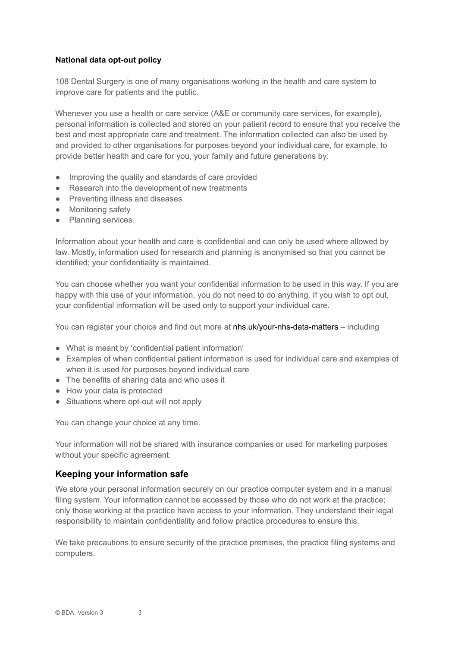#### **National data opt-out policy**

108 Dental Surgery is one of many organisations working in the health and care system to improve care for patients and the public.

Whenever you use a health or care service (A&E or community care services, for example), personal information is collected and stored on your patient record to ensure that you receive the best and most appropriate care and treatment. The information collected can also be used by and provided to other organisations for purposes beyond your individual care, for example, to provide better health and care for you, your family and future generations by:

- Improving the quality and standards of care provided
- Research into the development of new treatments
- Preventing illness and diseases
- Monitoring safety
- Planning services.

Information about your health and care is confidential and can only be used where allowed by law. Mostly, information used for research and planning is anonymised so that you cannot be identified; your confidentiality is maintained.

You can choose whether you want your confidential information to be used in this way. If you are happy with this use of your information, you do not need to do anything. If you wish to opt out, your confidential information will be used only to support your individual care.

You can register your choice and find out more at nhs.uk/your-nhs-data-matters – including

- What is meant by 'confidential patient information'
- Examples of when confidential patient information is used for individual care and examples of when it is used for purposes beyond individual care
- The benefits of sharing data and who uses it
- How your data is protected
- Situations where opt-out will not apply

You can change your choice at any time.

Your information will not be shared with insurance companies or used for marketing purposes without your specific agreement.

# **Keeping your information safe**

We store your personal information securely on our practice computer system and in a manual filing system. Your information cannot be accessed by those who do not work at the practice; only those working at the practice have access to your information. They understand their legal responsibility to maintain confidentiality and follow practice procedures to ensure this.

We take precautions to ensure security of the practice premises, the practice filing systems and computers.